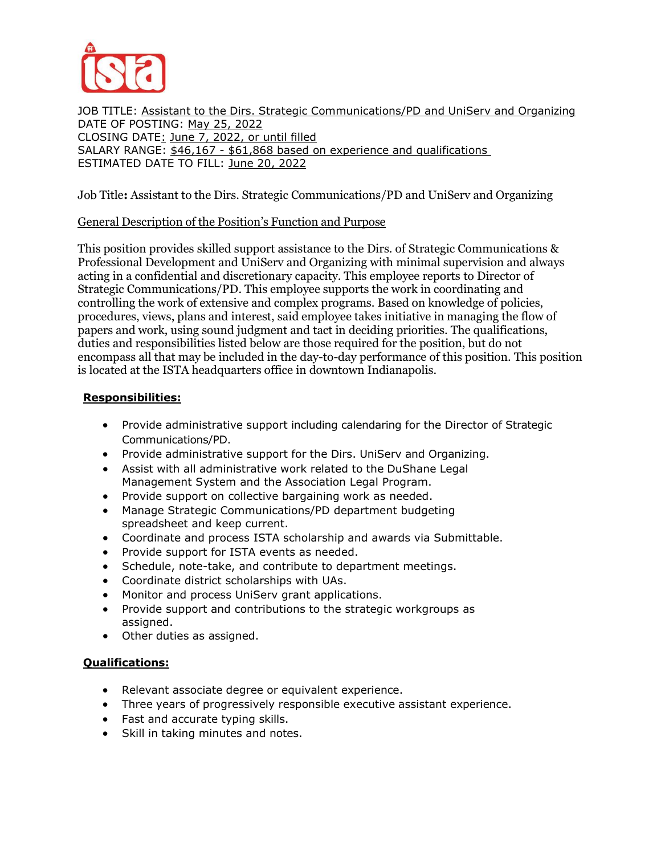

JOB TITLE: Assistant to the Dirs. Strategic Communications/PD and UniServ and Organizing DATE OF POSTING: May 25, 2022 CLOSING DATE: June 7, 2022, or until filled SALARY RANGE: \$46,167 - \$61,868 based on experience and qualifications ESTIMATED DATE TO FILL: June 20, 2022

Job Title**:** Assistant to the Dirs. Strategic Communications/PD and UniServ and Organizing

# General Description of the Position's Function and Purpose

This position provides skilled support assistance to the Dirs. of Strategic Communications & Professional Development and UniServ and Organizing with minimal supervision and always acting in a confidential and discretionary capacity. This employee reports to Director of Strategic Communications/PD. This employee supports the work in coordinating and controlling the work of extensive and complex programs. Based on knowledge of policies, procedures, views, plans and interest, said employee takes initiative in managing the flow of papers and work, using sound judgment and tact in deciding priorities. The qualifications, duties and responsibilities listed below are those required for the position, but do not encompass all that may be included in the day-to-day performance of this position. This position is located at the ISTA headquarters office in downtown Indianapolis.

# **Responsibilities:**

- Provide administrative support including calendaring for the Director of Strategic Communications/PD.
- Provide administrative support for the Dirs. UniServ and Organizing.
- Assist with all administrative work related to the DuShane Legal Management System and the Association Legal Program.
- Provide support on collective bargaining work as needed.
- Manage Strategic Communications/PD department budgeting spreadsheet and keep current.
- Coordinate and process ISTA scholarship and awards via Submittable.
- Provide support for ISTA events as needed.
- Schedule, note-take, and contribute to department meetings.
- Coordinate district scholarships with UAs.
- Monitor and process UniServ grant applications.
- Provide support and contributions to the strategic workgroups as assigned.
- Other duties as assigned.

# **Qualifications:**

- Relevant associate degree or equivalent experience.
- Three years of progressively responsible executive assistant experience.
- Fast and accurate typing skills.
- Skill in taking minutes and notes.